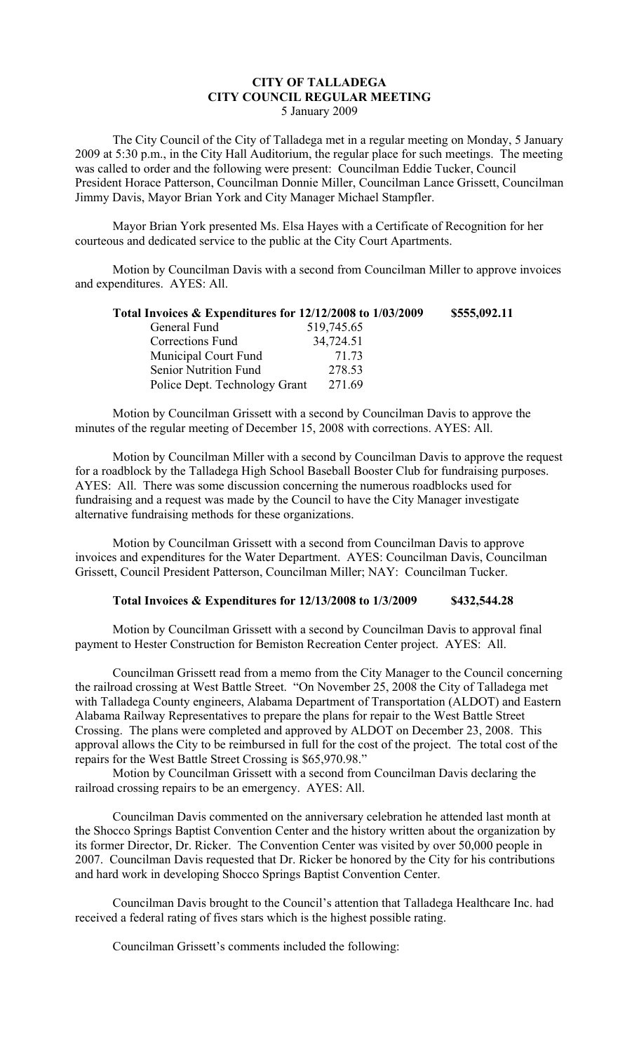## **CITY OF TALLADEGA CITY COUNCIL REGULAR MEETING** 5 January 2009

The City Council of the City of Talladega met in a regular meeting on Monday, 5 January 2009 at 5:30 p.m., in the City Hall Auditorium, the regular place for such meetings. The meeting was called to order and the following were present: Councilman Eddie Tucker, Council President Horace Patterson, Councilman Donnie Miller, Councilman Lance Grissett, Councilman Jimmy Davis, Mayor Brian York and City Manager Michael Stampfler.

Mayor Brian York presented Ms. Elsa Hayes with a Certificate of Recognition for her courteous and dedicated service to the public at the City Court Apartments.

Motion by Councilman Davis with a second from Councilman Miller to approve invoices and expenditures. AYES: All.

| Total Invoices & Expenditures for 12/12/2008 to 1/03/2009 |            | \$555,092.11 |
|-----------------------------------------------------------|------------|--------------|
| General Fund                                              | 519,745.65 |              |
| Corrections Fund                                          | 34,724.51  |              |
| Municipal Court Fund                                      | 71.73      |              |
| Senior Nutrition Fund                                     | 278.53     |              |
| Police Dept. Technology Grant                             | 271.69     |              |

Motion by Councilman Grissett with a second by Councilman Davis to approve the minutes of the regular meeting of December 15, 2008 with corrections. AYES: All.

Motion by Councilman Miller with a second by Councilman Davis to approve the request for a roadblock by the Talladega High School Baseball Booster Club for fundraising purposes. AYES: All. There was some discussion concerning the numerous roadblocks used for fundraising and a request was made by the Council to have the City Manager investigate alternative fundraising methods for these organizations.

Motion by Councilman Grissett with a second from Councilman Davis to approve invoices and expenditures for the Water Department. AYES: Councilman Davis, Councilman Grissett, Council President Patterson, Councilman Miller; NAY: Councilman Tucker.

## **Total Invoices & Expenditures for 12/13/2008 to 1/3/2009 \$432,544.28**

Motion by Councilman Grissett with a second by Councilman Davis to approval final payment to Hester Construction for Bemiston Recreation Center project. AYES: All.

Councilman Grissett read from a memo from the City Manager to the Council concerning the railroad crossing at West Battle Street. "On November 25, 2008 the City of Talladega met with Talladega County engineers, Alabama Department of Transportation (ALDOT) and Eastern Alabama Railway Representatives to prepare the plans for repair to the West Battle Street Crossing. The plans were completed and approved by ALDOT on December 23, 2008. This approval allows the City to be reimbursed in full for the cost of the project. The total cost of the repairs for the West Battle Street Crossing is \$65,970.98."

Motion by Councilman Grissett with a second from Councilman Davis declaring the railroad crossing repairs to be an emergency. AYES: All.

Councilman Davis commented on the anniversary celebration he attended last month at the Shocco Springs Baptist Convention Center and the history written about the organization by its former Director, Dr. Ricker. The Convention Center was visited by over 50,000 people in 2007. Councilman Davis requested that Dr. Ricker be honored by the City for his contributions and hard work in developing Shocco Springs Baptist Convention Center.

Councilman Davis brought to the Council's attention that Talladega Healthcare Inc. had received a federal rating of fives stars which is the highest possible rating.

Councilman Grissett's comments included the following: